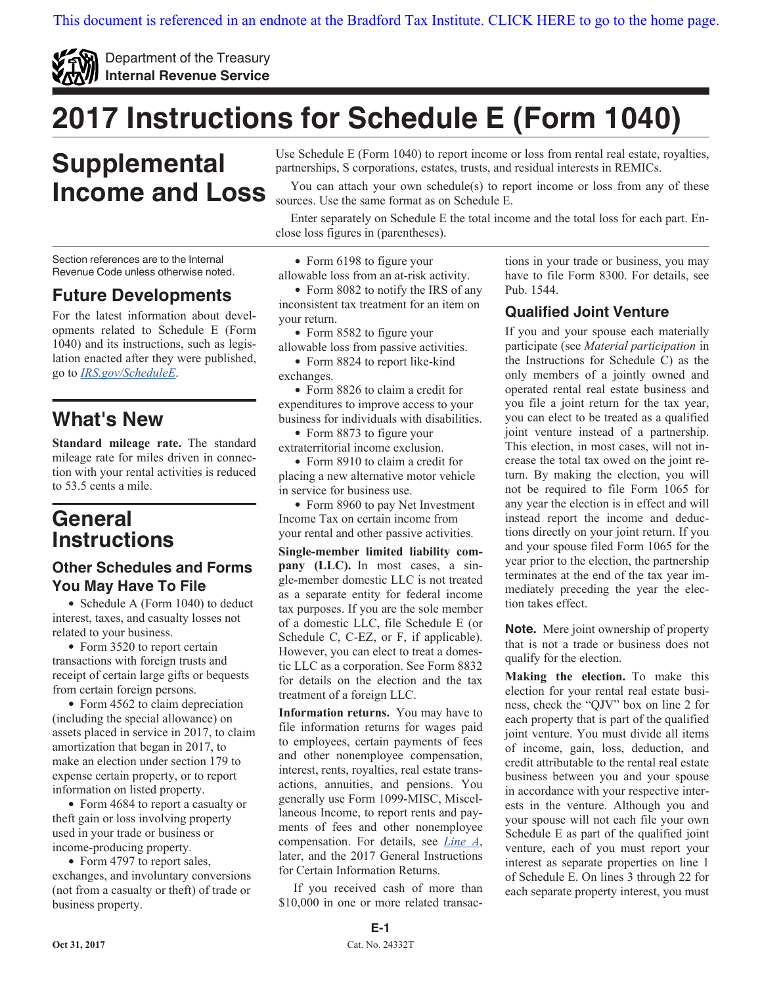<span id="page-0-0"></span>

Department of the Treasury **Internal Revenue Service**

# **2017 Instructions for Schedule E (Form 1040)**

## **Supplemental Income and Loss**

Section references are to the Internal Revenue Code unless otherwise noted.

### **Future Developments**

For the latest information about developments related to Schedule E (Form 1040) and its instructions, such as legislation enacted after they were published, go to *[IRS.gov/ScheduleE](https://www.irs.gov/schedulee)*.

### **What's New**

**Standard mileage rate.** The standard mileage rate for miles driven in connection with your rental activities is reduced to 53.5 cents a mile.

### **General Instructions**

#### **Other Schedules and Forms You May Have To File**

• Schedule A (Form 1040) to deduct interest, taxes, and casualty losses not related to your business.

• Form 3520 to report certain transactions with foreign trusts and receipt of certain large gifts or bequests from certain foreign persons.

• Form 4562 to claim depreciation (including the special allowance) on assets placed in service in 2017, to claim amortization that began in 2017, to make an election under section 179 to expense certain property, or to report information on listed property.

• Form 4684 to report a casualty or theft gain or loss involving property used in your trade or business or income-producing property.

• Form 4797 to report sales, exchanges, and involuntary conversions (not from a casualty or theft) of trade or business property.

Use Schedule E (Form 1040) to report income or loss from rental real estate, royalties, partnerships, S corporations, estates, trusts, and residual interests in REMICs.

You can attach your own schedule(s) to report income or loss from any of these sources. Use the same format as on Schedule E.

Enter separately on Schedule E the total income and the total loss for each part. Enclose loss figures in (parentheses).

• Form 6198 to figure your

allowable loss from an at-risk activity.

• Form 8082 to notify the IRS of any inconsistent tax treatment for an item on your return.

Form 8582 to figure your allowable loss from passive activities.

• Form 8824 to report like-kind exchanges.

• Form 8826 to claim a credit for expenditures to improve access to your business for individuals with disabilities.

• Form 8873 to figure your extraterritorial income exclusion.

• Form 8910 to claim a credit for placing a new alternative motor vehicle in service for business use.

• Form 8960 to pay Net Investment Income Tax on certain income from your rental and other passive activities.

**Single-member limited liability company (LLC).** In most cases, a single-member domestic LLC is not treated as a separate entity for federal income tax purposes. If you are the sole member of a domestic LLC, file Schedule E (or Schedule C, C-EZ, or F, if applicable). However, you can elect to treat a domestic LLC as a corporation. See Form 8832 for details on the election and the tax treatment of a foreign LLC.

**Information returns.** You may have to file information returns for wages paid to employees, certain payments of fees and other nonemployee compensation, interest, rents, royalties, real estate transactions, annuities, and pensions. You generally use Form 1099-MISC, Miscellaneous Income, to report rents and payments of fees and other nonemployee compensation. For details, see *[Line A](#page-3-0)*, later, and the 2017 General Instructions for Certain Information Returns.

If you received cash of more than \$10,000 in one or more related transactions in your trade or business, you may have to file Form 8300. For details, see Pub. 1544.

#### **Qualified Joint Venture**

If you and your spouse each materially participate (see *Material participation* in the Instructions for Schedule C) as the only members of a jointly owned and operated rental real estate business and you file a joint return for the tax year, you can elect to be treated as a qualified joint venture instead of a partnership. This election, in most cases, will not increase the total tax owed on the joint return. By making the election, you will not be required to file Form 1065 for any year the election is in effect and will instead report the income and deductions directly on your joint return. If you and your spouse filed Form 1065 for the year prior to the election, the partnership terminates at the end of the tax year immediately preceding the year the election takes effect.

**Note.** Mere joint ownership of property that is not a trade or business does not qualify for the election.

**Making the election.** To make this election for your rental real estate business, check the "QJV" box on line 2 for each property that is part of the qualified joint venture. You must divide all items of income, gain, loss, deduction, and credit attributable to the rental real estate business between you and your spouse in accordance with your respective interests in the venture. Although you and your spouse will not each file your own Schedule E as part of the qualified joint venture, each of you must report your interest as separate properties on line 1 of Schedule E. On lines 3 through 22 for each separate property interest, you must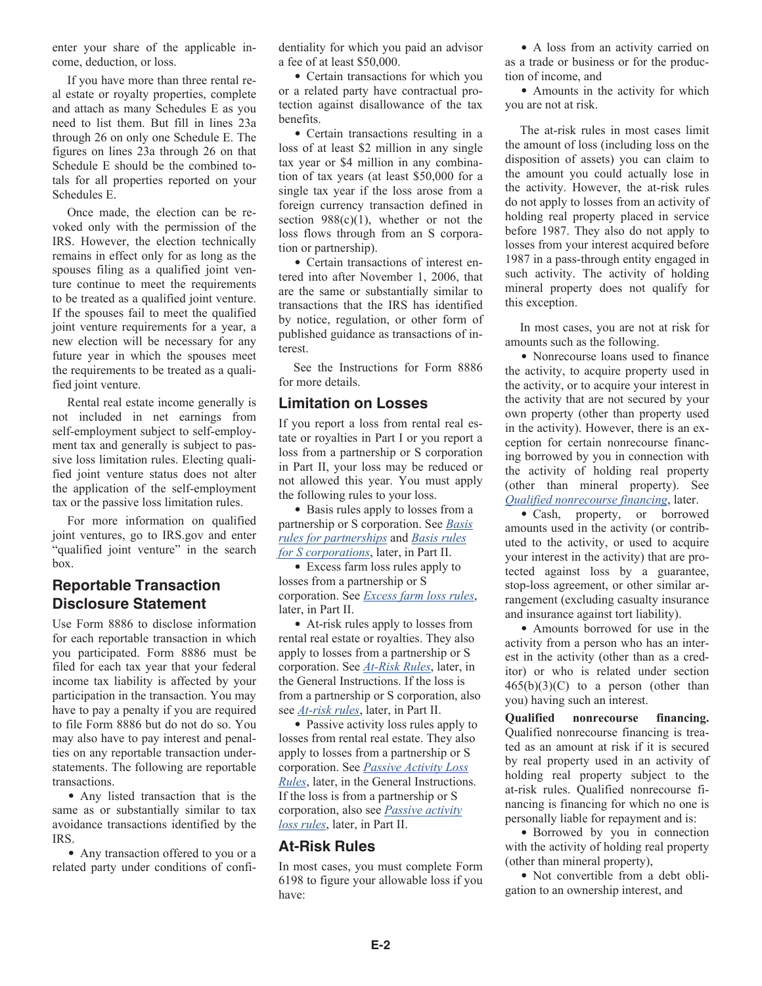<span id="page-1-0"></span>enter your share of the applicable income, deduction, or loss.

If you have more than three rental real estate or royalty properties, complete and attach as many Schedules E as you need to list them. But fill in lines 23a through 26 on only one Schedule E. The figures on lines 23a through 26 on that Schedule E should be the combined totals for all properties reported on your Schedules E.

Once made, the election can be revoked only with the permission of the IRS. However, the election technically remains in effect only for as long as the spouses filing as a qualified joint venture continue to meet the requirements to be treated as a qualified joint venture. If the spouses fail to meet the qualified joint venture requirements for a year, a new election will be necessary for any future year in which the spouses meet the requirements to be treated as a qualified joint venture.

Rental real estate income generally is not included in net earnings from self-employment subject to self-employment tax and generally is subject to passive loss limitation rules. Electing qualified joint venture status does not alter the application of the self-employment tax or the passive loss limitation rules.

For more information on qualified joint ventures, go to IRS.gov and enter "qualified joint venture" in the search box.

#### **Reportable Transaction Disclosure Statement**

Use Form 8886 to disclose information for each reportable transaction in which you participated. Form 8886 must be filed for each tax year that your federal income tax liability is affected by your participation in the transaction. You may have to pay a penalty if you are required to file Form 8886 but do not do so. You may also have to pay interest and penalties on any reportable transaction understatements. The following are reportable transactions.

Any listed transaction that is the same as or substantially similar to tax avoidance transactions identified by the IRS.

Any transaction offered to you or a related party under conditions of confidentiality for which you paid an advisor a fee of at least \$50,000.

Certain transactions for which you or a related party have contractual protection against disallowance of the tax benefits.

• Certain transactions resulting in a loss of at least \$2 million in any single tax year or \$4 million in any combination of tax years (at least \$50,000 for a single tax year if the loss arose from a foreign currency transaction defined in section  $988(c)(1)$ , whether or not the loss flows through from an S corporation or partnership).

• Certain transactions of interest entered into after November 1, 2006, that are the same or substantially similar to transactions that the IRS has identified by notice, regulation, or other form of published guidance as transactions of interest.

See the Instructions for Form 8886 for more details.

#### **Limitation on Losses**

If you report a loss from rental real estate or royalties in Part I or you report a loss from a partnership or S corporation in Part II, your loss may be reduced or not allowed this year. You must apply the following rules to your loss.

• Basis rules apply to losses from a partnership or S corporation. See *[Basis](#page-7-0) [rules for partnerships](#page-7-0)* and *[Basis rules](#page-7-0)  [for S corporations](#page-7-0)*, later, in Part II.

• Excess farm loss rules apply to losses from a partnership or S corporation. See *[Excess farm loss rules](#page-7-0)*, later, in Part II.

At-risk rules apply to losses from rental real estate or royalties. They also apply to losses from a partnership or S corporation. See *At-Risk Rules*, later, in the General Instructions. If the loss is from a partnership or S corporation, also see *[At-risk rules](#page-7-0)*, later, in Part II.

• Passive activity loss rules apply to losses from rental real estate. They also apply to losses from a partnership or S corporation. See *[Passive Activity Loss](#page-2-0) [Rules](#page-2-0)*, later, in the General Instructions. If the loss is from a partnership or S corporation, also see *[Passive activity](#page-8-0) [loss rules](#page-8-0)*, later, in Part II.

#### **At-Risk Rules**

In most cases, you must complete Form 6198 to figure your allowable loss if you have:

A loss from an activity carried on as a trade or business or for the production of income, and

• Amounts in the activity for which you are not at risk.

The at-risk rules in most cases limit the amount of loss (including loss on the disposition of assets) you can claim to the amount you could actually lose in the activity. However, the at-risk rules do not apply to losses from an activity of holding real property placed in service before 1987. They also do not apply to losses from your interest acquired before 1987 in a pass-through entity engaged in such activity. The activity of holding mineral property does not qualify for this exception.

In most cases, you are not at risk for amounts such as the following.

Nonrecourse loans used to finance the activity, to acquire property used in the activity, or to acquire your interest in the activity that are not secured by your own property (other than property used in the activity). However, there is an exception for certain nonrecourse financing borrowed by you in connection with the activity of holding real property (other than mineral property). See *Qualified nonrecourse financing*, later.

Cash, property, or borrowed amounts used in the activity (or contributed to the activity, or used to acquire your interest in the activity) that are protected against loss by a guarantee, stop-loss agreement, or other similar arrangement (excluding casualty insurance and insurance against tort liability).

Amounts borrowed for use in the activity from a person who has an interest in the activity (other than as a creditor) or who is related under section  $465(b)(3)(C)$  to a person (other than you) having such an interest.

**Qualified nonrecourse financing.**  Qualified nonrecourse financing is treated as an amount at risk if it is secured by real property used in an activity of holding real property subject to the at-risk rules. Qualified nonrecourse financing is financing for which no one is personally liable for repayment and is:

Borrowed by you in connection with the activity of holding real property (other than mineral property),

Not convertible from a debt obligation to an ownership interest, and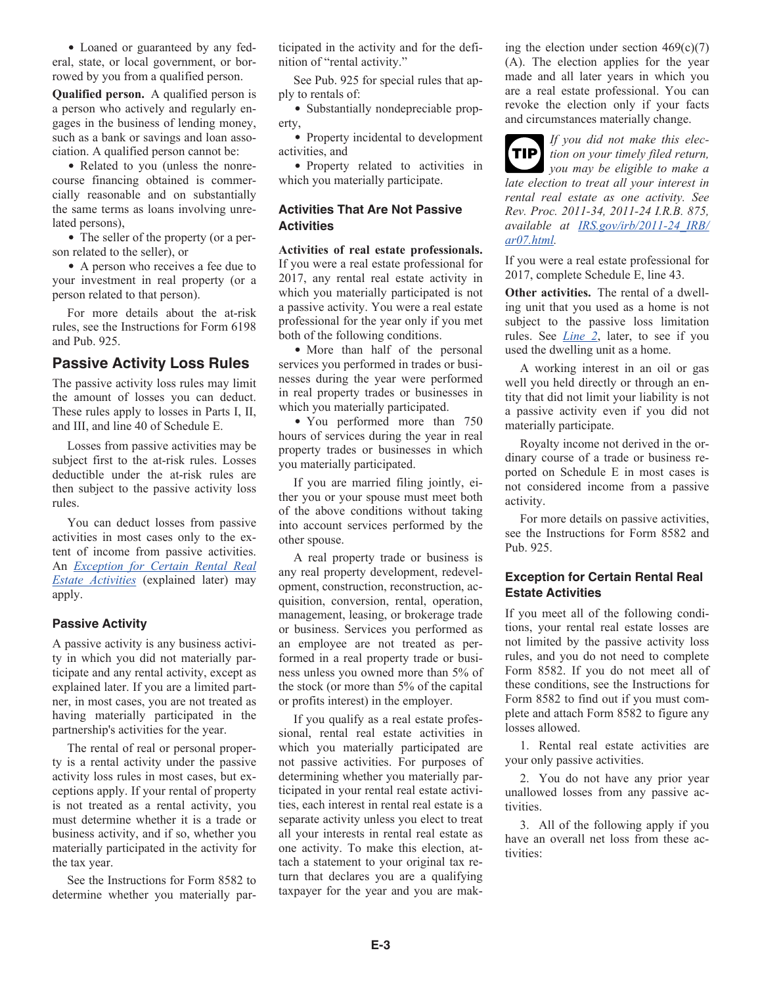<span id="page-2-0"></span>Loaned or guaranteed by any federal, state, or local government, or borrowed by you from a qualified person.

**Qualified person.** A qualified person is a person who actively and regularly engages in the business of lending money, such as a bank or savings and loan association. A qualified person cannot be:

• Related to you (unless the nonrecourse financing obtained is commercially reasonable and on substantially the same terms as loans involving unrelated persons),

• The seller of the property (or a person related to the seller), or

• A person who receives a fee due to your investment in real property (or a person related to that person).

For more details about the at-risk rules, see the Instructions for Form 6198 and Pub. 925.

#### **Passive Activity Loss Rules**

The passive activity loss rules may limit the amount of losses you can deduct. These rules apply to losses in Parts I, II, and III, and line 40 of Schedule E.

Losses from passive activities may be subject first to the at-risk rules. Losses deductible under the at-risk rules are then subject to the passive activity loss rules.

You can deduct losses from passive activities in most cases only to the extent of income from passive activities. An *Exception for Certain Rental Real Estate Activities* (explained later) may apply.

#### **Passive Activity**

A passive activity is any business activity in which you did not materially participate and any rental activity, except as explained later. If you are a limited partner, in most cases, you are not treated as having materially participated in the partnership's activities for the year.

The rental of real or personal property is a rental activity under the passive activity loss rules in most cases, but exceptions apply. If your rental of property is not treated as a rental activity, you must determine whether it is a trade or business activity, and if so, whether you materially participated in the activity for the tax year.

See the Instructions for Form 8582 to determine whether you materially participated in the activity and for the definition of "rental activity."

See Pub. 925 for special rules that apply to rentals of:

• Substantially nondepreciable property,

• Property incidental to development activities, and

• Property related to activities in which you materially participate.

#### **Activities That Are Not Passive Activities**

**Activities of real estate professionals.**  If you were a real estate professional for 2017, any rental real estate activity in which you materially participated is not a passive activity. You were a real estate professional for the year only if you met both of the following conditions.

• More than half of the personal services you performed in trades or businesses during the year were performed in real property trades or businesses in which you materially participated.

You performed more than 750 hours of services during the year in real property trades or businesses in which you materially participated.

If you are married filing jointly, either you or your spouse must meet both of the above conditions without taking into account services performed by the other spouse.

A real property trade or business is any real property development, redevelopment, construction, reconstruction, acquisition, conversion, rental, operation, management, leasing, or brokerage trade or business. Services you performed as an employee are not treated as performed in a real property trade or business unless you owned more than 5% of the stock (or more than 5% of the capital or profits interest) in the employer.

If you qualify as a real estate professional, rental real estate activities in which you materially participated are not passive activities. For purposes of determining whether you materially participated in your rental real estate activities, each interest in rental real estate is a separate activity unless you elect to treat all your interests in rental real estate as one activity. To make this election, attach a statement to your original tax return that declares you are a qualifying taxpayer for the year and you are making the election under section  $469(c)(7)$ (A). The election applies for the year made and all later years in which you are a real estate professional. You can revoke the election only if your facts and circumstances materially change.

*If you did not make this election on your timely filed return,*  **TIP** *you may be eligible to make a late election to treat all your interest in rental real estate as one activity. See Rev. Proc. 2011-34, 2011-24 I.R.B. 875, available at [IRS.gov/irb/2011-24\\_IRB/](https://www.irs.gov/irb/2011-24_IRB/ar07.html) [ar07.html](https://www.irs.gov/irb/2011-24_IRB/ar07.html).*

If you were a real estate professional for 2017, complete Schedule E, line 43.

**Other activities.** The rental of a dwelling unit that you used as a home is not subject to the passive loss limitation rules. See *[Line 2](#page-4-0)*, later, to see if you used the dwelling unit as a home.

A working interest in an oil or gas well you held directly or through an entity that did not limit your liability is not a passive activity even if you did not materially participate.

Royalty income not derived in the ordinary course of a trade or business reported on Schedule E in most cases is not considered income from a passive activity.

For more details on passive activities, see the Instructions for Form 8582 and Pub. 925.

#### **Exception for Certain Rental Real Estate Activities**

If you meet all of the following conditions, your rental real estate losses are not limited by the passive activity loss rules, and you do not need to complete Form 8582. If you do not meet all of these conditions, see the Instructions for Form 8582 to find out if you must complete and attach Form 8582 to figure any losses allowed.

1. Rental real estate activities are your only passive activities.

2. You do not have any prior year unallowed losses from any passive activities.

3. All of the following apply if you have an overall net loss from these activities: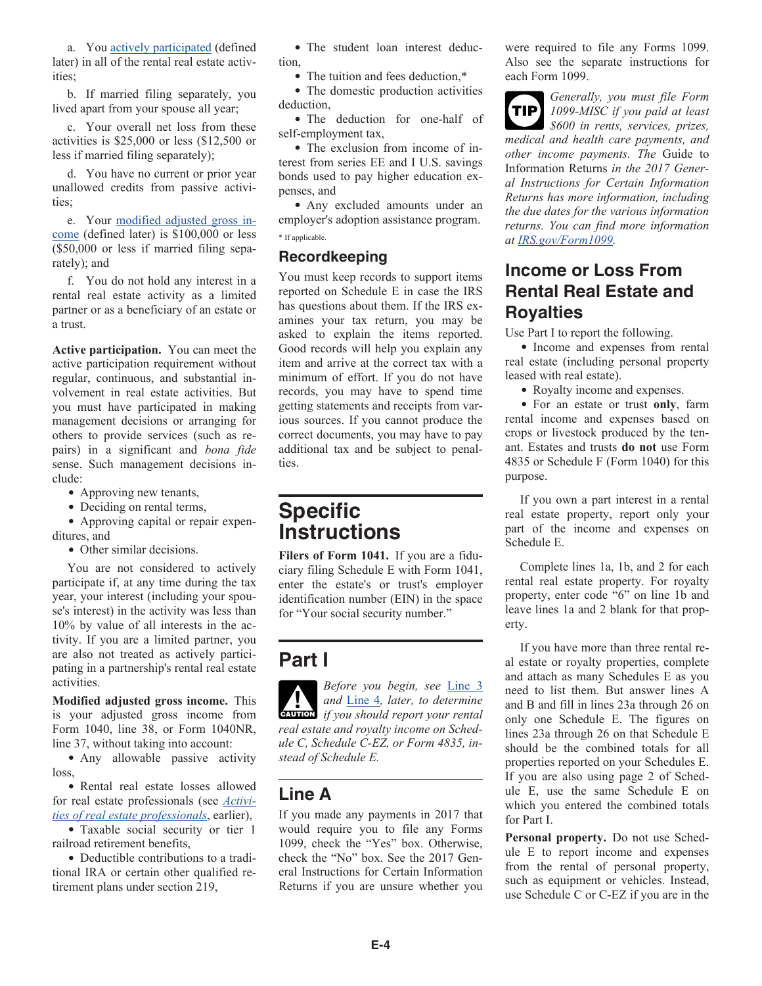<span id="page-3-0"></span>a. You actively participated (defined later) in all of the rental real estate activities;

b. If married filing separately, you lived apart from your spouse all year;

c. Your overall net loss from these activities is \$25,000 or less (\$12,500 or less if married filing separately);

d. You have no current or prior year unallowed credits from passive activities;

e. Your modified adjusted gross income (defined later) is \$100,000 or less (\$50,000 or less if married filing separately); and

f. You do not hold any interest in a rental real estate activity as a limited partner or as a beneficiary of an estate or a trust.

**Active participation.** You can meet the active participation requirement without regular, continuous, and substantial involvement in real estate activities. But you must have participated in making management decisions or arranging for others to provide services (such as repairs) in a significant and *bona fide*  sense. Such management decisions include:

- Approving new tenants,
- Deciding on rental terms,

Approving capital or repair expenditures, and

• Other similar decisions.

You are not considered to actively participate if, at any time during the tax year, your interest (including your spouse's interest) in the activity was less than 10% by value of all interests in the activity. If you are a limited partner, you are also not treated as actively participating in a partnership's rental real estate activities.

**Modified adjusted gross income.** This is your adjusted gross income from Form 1040, line 38, or Form 1040NR, line 37, without taking into account:

• Any allowable passive activity loss,

Rental real estate losses allowed for real estate professionals (see *[Activi](#page-2-0)[ties of real estate professionals](#page-2-0)*, earlier),

Taxable social security or tier 1 railroad retirement benefits,

• Deductible contributions to a traditional IRA or certain other qualified retirement plans under section 219,

• The student loan interest deduction,

• The tuition and fees deduction,\*

• The domestic production activities deduction,

• The deduction for one-half of self-employment tax,

• The exclusion from income of interest from series EE and I U.S. savings bonds used to pay higher education expenses, and

Any excluded amounts under an employer's adoption assistance program. \* If applicable.

#### **Recordkeeping**

You must keep records to support items reported on Schedule E in case the IRS has questions about them. If the IRS examines your tax return, you may be asked to explain the items reported. Good records will help you explain any item and arrive at the correct tax with a minimum of effort. If you do not have records, you may have to spend time getting statements and receipts from various sources. If you cannot produce the correct documents, you may have to pay additional tax and be subject to penalties.

### **Specific Instructions**

**Filers of Form 1041.** If you are a fiduciary filing Schedule E with Form 1041, enter the estate's or trust's employer identification number (EIN) in the space for "Your social security number."

### **Part I**

*Before you begin, see* [Line 3](#page-4-0) *and* [Line 4](#page-5-0)*, later, to determine caution if you should report your rental real estate and royalty income on Schedule C, Schedule C-EZ, or Form 4835, instead of Schedule E.*

### **Line A**

If you made any payments in 2017 that would require you to file any Forms 1099, check the "Yes" box. Otherwise, check the "No" box. See the 2017 General Instructions for Certain Information Returns if you are unsure whether you

were required to file any Forms 1099. Also see the separate instructions for each Form 1099.



*Generally, you must file Form 1099-MISC if you paid at least \$600 in rents, services, prizes,* 

*medical and health care payments, and other income payments. The* Guide to Information Returns *in the 2017 General Instructions for Certain Information Returns has more information, including the due dates for the various information returns. You can find more information at [IRS.gov/Form1099.](https://www.irs.gov/form1099)*

### **Income or Loss From Rental Real Estate and Royalties**

Use Part I to report the following.

• Income and expenses from rental real estate (including personal property leased with real estate).

Royalty income and expenses.

For an estate or trust **only**, farm rental income and expenses based on crops or livestock produced by the tenant. Estates and trusts **do not** use Form 4835 or Schedule F (Form 1040) for this purpose.

If you own a part interest in a rental real estate property, report only your part of the income and expenses on Schedule E.

Complete lines 1a, 1b, and 2 for each rental real estate property. For royalty property, enter code "6" on line 1b and leave lines 1a and 2 blank for that property.

If you have more than three rental real estate or royalty properties, complete and attach as many Schedules E as you need to list them. But answer lines A and B and fill in lines 23a through 26 on only one Schedule E. The figures on lines 23a through 26 on that Schedule E should be the combined totals for all properties reported on your Schedules E. If you are also using page 2 of Schedule E, use the same Schedule E on which you entered the combined totals for Part I.

**Personal property.** Do not use Schedule E to report income and expenses from the rental of personal property, such as equipment or vehicles. Instead, use Schedule C or C-EZ if you are in the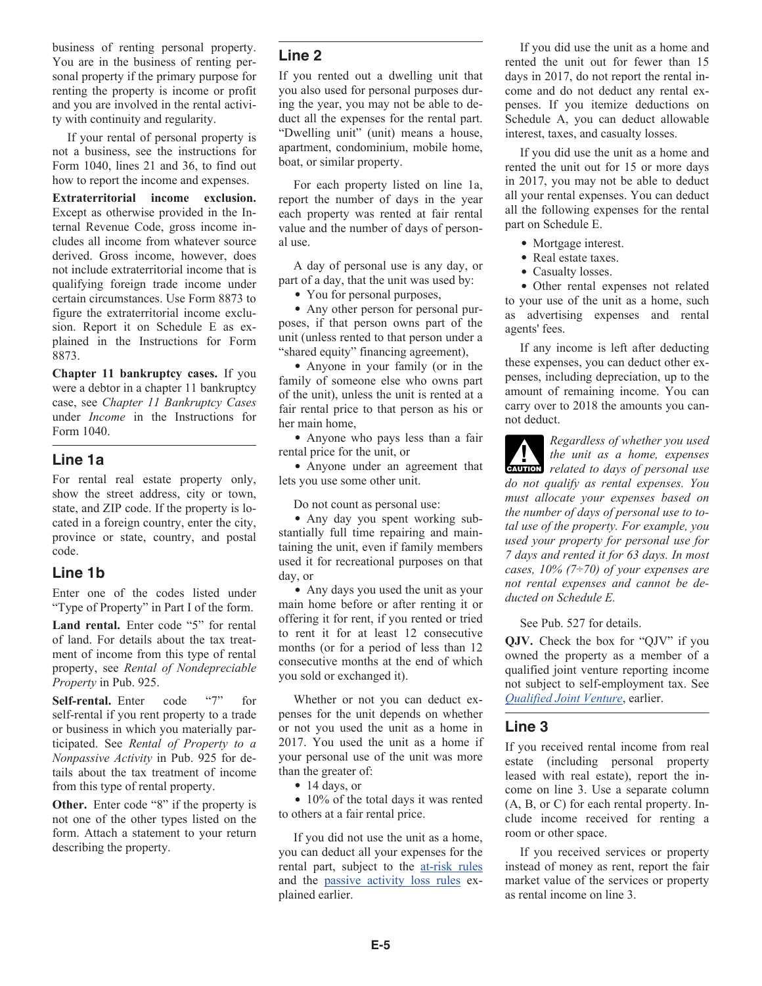<span id="page-4-0"></span>business of renting personal property. You are in the business of renting personal property if the primary purpose for renting the property is income or profit and you are involved in the rental activity with continuity and regularity.

If your rental of personal property is not a business, see the instructions for Form 1040, lines 21 and 36, to find out how to report the income and expenses.

**Extraterritorial income exclusion.**  Except as otherwise provided in the Internal Revenue Code, gross income includes all income from whatever source derived. Gross income, however, does not include extraterritorial income that is qualifying foreign trade income under certain circumstances. Use Form 8873 to figure the extraterritorial income exclusion. Report it on Schedule E as explained in the Instructions for Form 8873.

**Chapter 11 bankruptcy cases.** If you were a debtor in a chapter 11 bankruptcy case, see *Chapter 11 Bankruptcy Cases*  under *Income* in the Instructions for Form 1040.

#### **Line 1a**

For rental real estate property only, show the street address, city or town, state, and ZIP code. If the property is located in a foreign country, enter the city, province or state, country, and postal code.

#### **Line 1b**

Enter one of the codes listed under "Type of Property" in Part I of the form.

Land rental. Enter code "5" for rental of land. For details about the tax treatment of income from this type of rental property, see *Rental of Nondepreciable Property* in Pub. 925.

**Self-rental.** Enter code "7" for self-rental if you rent property to a trade or business in which you materially participated. See *Rental of Property to a Nonpassive Activity* in Pub. 925 for details about the tax treatment of income from this type of rental property.

**Other.** Enter code "8" if the property is not one of the other types listed on the form. Attach a statement to your return describing the property.

#### **Line 2**

If you rented out a dwelling unit that you also used for personal purposes during the year, you may not be able to deduct all the expenses for the rental part. "Dwelling unit" (unit) means a house, apartment, condominium, mobile home, boat, or similar property.

For each property listed on line 1a, report the number of days in the year each property was rented at fair rental value and the number of days of personal use.

A day of personal use is any day, or part of a day, that the unit was used by:

• You for personal purposes,

Any other person for personal purposes, if that person owns part of the unit (unless rented to that person under a "shared equity" financing agreement),

Anyone in your family (or in the family of someone else who owns part of the unit), unless the unit is rented at a fair rental price to that person as his or her main home,

Anyone who pays less than a fair rental price for the unit, or

Anyone under an agreement that lets you use some other unit.

Do not count as personal use:

Any day you spent working substantially full time repairing and maintaining the unit, even if family members used it for recreational purposes on that day, or

Any days you used the unit as your main home before or after renting it or offering it for rent, if you rented or tried to rent it for at least 12 consecutive months (or for a period of less than 12 consecutive months at the end of which you sold or exchanged it).

Whether or not you can deduct expenses for the unit depends on whether or not you used the unit as a home in 2017. You used the unit as a home if your personal use of the unit was more than the greater of:

• 14 days, or

• 10% of the total days it was rented to others at a fair rental price.

If you did not use the unit as a home, you can deduct all your expenses for the rental part, subject to the [at-risk rules](#page-1-0) and the [passive activity loss rules](#page-2-0) explained earlier.

If you did use the unit as a home and rented the unit out for fewer than 15 days in 2017, do not report the rental income and do not deduct any rental expenses. If you itemize deductions on Schedule A, you can deduct allowable interest, taxes, and casualty losses.

If you did use the unit as a home and rented the unit out for 15 or more days in 2017, you may not be able to deduct all your rental expenses. You can deduct all the following expenses for the rental part on Schedule E.

- Mortgage interest.
- Real estate taxes.
- Casualty losses.

Other rental expenses not related to your use of the unit as a home, such as advertising expenses and rental agents' fees.

If any income is left after deducting these expenses, you can deduct other expenses, including depreciation, up to the amount of remaining income. You can carry over to 2018 the amounts you cannot deduct.

*Regardless of whether you used the unit as a home, expenses related to days of personal use do not qualify as rental expenses. You must allocate your expenses based on the number of days of personal use to total use of the property. For example, you used your property for personal use for 7 days and rented it for 63 days. In most cases, 10% (7÷70) of your expenses are not rental expenses and cannot be deducted on Schedule E.*

See Pub. 527 for details.

**QJV.** Check the box for "QJV" if you owned the property as a member of a qualified joint venture reporting income not subject to self-employment tax. See *[Qualified Joint Venture](#page-0-0)*, earlier.

#### **Line 3**

If you received rental income from real estate (including personal property leased with real estate), report the income on line 3. Use a separate column (A, B, or C) for each rental property. Include income received for renting a room or other space.

If you received services or property instead of money as rent, report the fair market value of the services or property as rental income on line 3.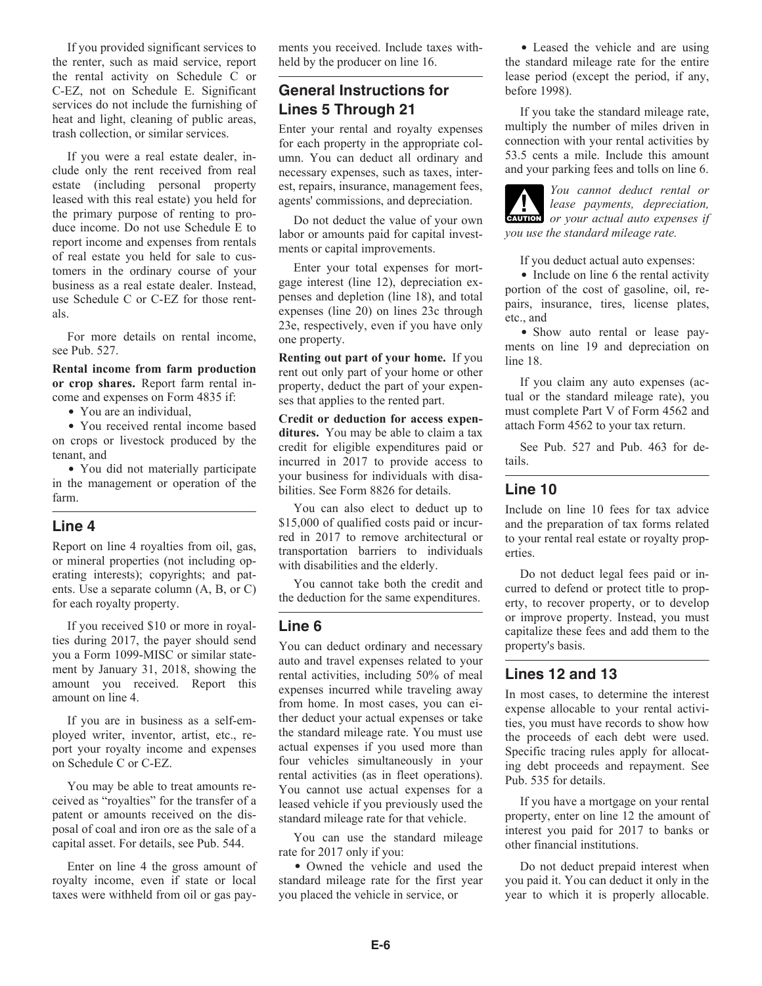<span id="page-5-0"></span>If you provided significant services to the renter, such as maid service, report the rental activity on Schedule C or C-EZ, not on Schedule E. Significant services do not include the furnishing of heat and light, cleaning of public areas, trash collection, or similar services.

If you were a real estate dealer, include only the rent received from real estate (including personal property leased with this real estate) you held for the primary purpose of renting to produce income. Do not use Schedule E to report income and expenses from rentals of real estate you held for sale to customers in the ordinary course of your business as a real estate dealer. Instead, use Schedule C or C-EZ for those rentals.

For more details on rental income, see Pub. 527.

**Rental income from farm production or crop shares.** Report farm rental income and expenses on Form 4835 if:

• You are an individual.

You received rental income based on crops or livestock produced by the tenant, and

• You did not materially participate in the management or operation of the farm.

#### **Line 4**

Report on line 4 royalties from oil, gas, or mineral properties (not including operating interests); copyrights; and patents. Use a separate column (A, B, or C) for each royalty property.

If you received \$10 or more in royalties during 2017, the payer should send you a Form 1099-MISC or similar statement by January 31, 2018, showing the amount you received. Report this amount on line 4.

If you are in business as a self-employed writer, inventor, artist, etc., report your royalty income and expenses on Schedule C or C-EZ.

You may be able to treat amounts received as "royalties" for the transfer of a patent or amounts received on the disposal of coal and iron ore as the sale of a capital asset. For details, see Pub. 544.

Enter on line 4 the gross amount of royalty income, even if state or local taxes were withheld from oil or gas payments you received. Include taxes withheld by the producer on line 16.

#### **General Instructions for Lines 5 Through 21**

Enter your rental and royalty expenses for each property in the appropriate column. You can deduct all ordinary and necessary expenses, such as taxes, interest, repairs, insurance, management fees, agents' commissions, and depreciation.

Do not deduct the value of your own labor or amounts paid for capital investments or capital improvements.

Enter your total expenses for mortgage interest (line 12), depreciation expenses and depletion (line 18), and total expenses (line 20) on lines 23c through 23e, respectively, even if you have only one property.

**Renting out part of your home.** If you rent out only part of your home or other property, deduct the part of your expenses that applies to the rented part.

**Credit or deduction for access expenditures.** You may be able to claim a tax credit for eligible expenditures paid or incurred in 2017 to provide access to your business for individuals with disabilities. See Form 8826 for details.

You can also elect to deduct up to \$15,000 of qualified costs paid or incurred in 2017 to remove architectural or transportation barriers to individuals with disabilities and the elderly.

You cannot take both the credit and the deduction for the same expenditures.

#### **Line 6**

You can deduct ordinary and necessary auto and travel expenses related to your rental activities, including 50% of meal expenses incurred while traveling away from home. In most cases, you can either deduct your actual expenses or take the standard mileage rate. You must use actual expenses if you used more than four vehicles simultaneously in your rental activities (as in fleet operations). You cannot use actual expenses for a leased vehicle if you previously used the standard mileage rate for that vehicle.

You can use the standard mileage rate for 2017 only if you:

Owned the vehicle and used the standard mileage rate for the first year you placed the vehicle in service, or

Leased the vehicle and are using the standard mileage rate for the entire lease period (except the period, if any, before 1998).

If you take the standard mileage rate, multiply the number of miles driven in connection with your rental activities by 53.5 cents a mile. Include this amount and your parking fees and tolls on line 6.

*You cannot deduct rental or lease payments, depreciation,*  **CAUTION** *or your actual auto expenses if you use the standard mileage rate.*

If you deduct actual auto expenses:

• Include on line 6 the rental activity portion of the cost of gasoline, oil, repairs, insurance, tires, license plates, etc., and

• Show auto rental or lease payments on line 19 and depreciation on line 18.

If you claim any auto expenses (actual or the standard mileage rate), you must complete Part V of Form 4562 and attach Form 4562 to your tax return.

See Pub. 527 and Pub. 463 for details.

#### **Line 10**

Include on line 10 fees for tax advice and the preparation of tax forms related to your rental real estate or royalty properties.

Do not deduct legal fees paid or incurred to defend or protect title to property, to recover property, or to develop or improve property. Instead, you must capitalize these fees and add them to the property's basis.

#### **Lines 12 and 13**

In most cases, to determine the interest expense allocable to your rental activities, you must have records to show how the proceeds of each debt were used. Specific tracing rules apply for allocating debt proceeds and repayment. See Pub. 535 for details.

If you have a mortgage on your rental property, enter on line 12 the amount of interest you paid for 2017 to banks or other financial institutions.

Do not deduct prepaid interest when you paid it. You can deduct it only in the year to which it is properly allocable.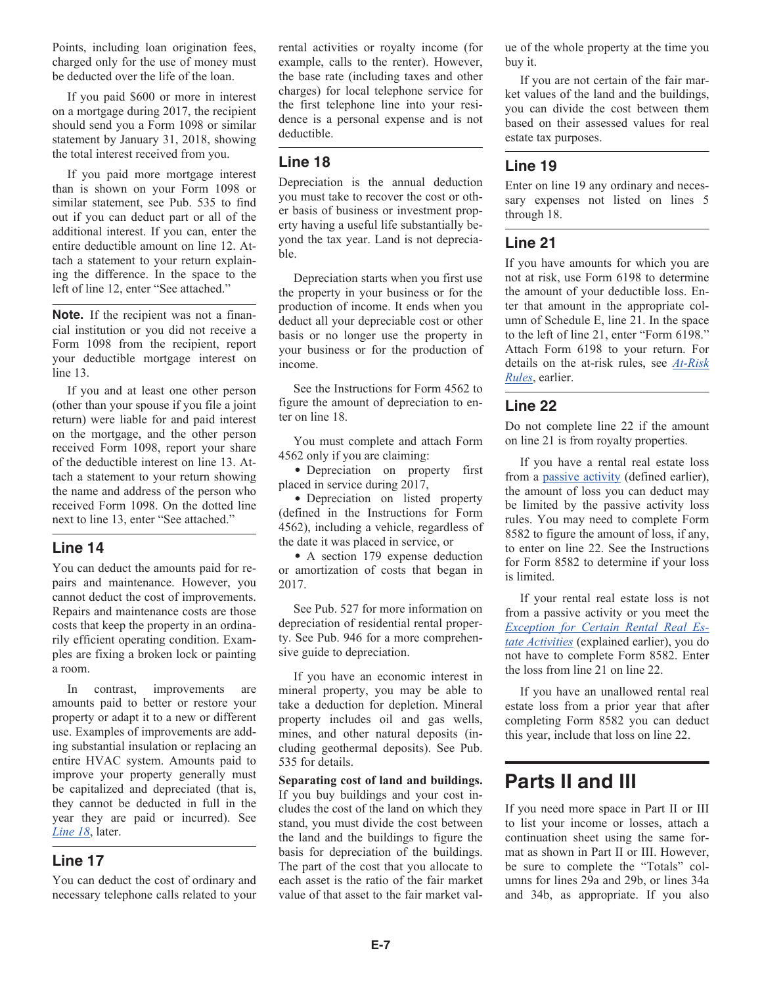Points, including loan origination fees, charged only for the use of money must be deducted over the life of the loan.

If you paid \$600 or more in interest on a mortgage during 2017, the recipient should send you a Form 1098 or similar statement by January 31, 2018, showing the total interest received from you.

If you paid more mortgage interest than is shown on your Form 1098 or similar statement, see Pub. 535 to find out if you can deduct part or all of the additional interest. If you can, enter the entire deductible amount on line 12. Attach a statement to your return explaining the difference. In the space to the left of line 12, enter "See attached."

**Note.** If the recipient was not a financial institution or you did not receive a Form 1098 from the recipient, report your deductible mortgage interest on line 13.

If you and at least one other person (other than your spouse if you file a joint return) were liable for and paid interest on the mortgage, and the other person received Form 1098, report your share of the deductible interest on line 13. Attach a statement to your return showing the name and address of the person who received Form 1098. On the dotted line next to line 13, enter "See attached."

#### **Line 14**

You can deduct the amounts paid for repairs and maintenance. However, you cannot deduct the cost of improvements. Repairs and maintenance costs are those costs that keep the property in an ordinarily efficient operating condition. Examples are fixing a broken lock or painting a room.

In contrast, improvements are amounts paid to better or restore your property or adapt it to a new or different use. Examples of improvements are adding substantial insulation or replacing an entire HVAC system. Amounts paid to improve your property generally must be capitalized and depreciated (that is, they cannot be deducted in full in the year they are paid or incurred). See *Line 18*, later.

#### **Line 17**

You can deduct the cost of ordinary and necessary telephone calls related to your rental activities or royalty income (for example, calls to the renter). However, the base rate (including taxes and other charges) for local telephone service for the first telephone line into your residence is a personal expense and is not deductible.

#### **Line 18**

Depreciation is the annual deduction you must take to recover the cost or other basis of business or investment property having a useful life substantially beyond the tax year. Land is not depreciable.

Depreciation starts when you first use the property in your business or for the production of income. It ends when you deduct all your depreciable cost or other basis or no longer use the property in your business or for the production of income.

See the Instructions for Form 4562 to figure the amount of depreciation to enter on line 18.

You must complete and attach Form 4562 only if you are claiming:

• Depreciation on property first placed in service during 2017,

Depreciation on listed property (defined in the Instructions for Form 4562), including a vehicle, regardless of the date it was placed in service, or

• A section 179 expense deduction or amortization of costs that began in 2017.

See Pub. 527 for more information on depreciation of residential rental property. See Pub. 946 for a more comprehensive guide to depreciation.

If you have an economic interest in mineral property, you may be able to take a deduction for depletion. Mineral property includes oil and gas wells, mines, and other natural deposits (including geothermal deposits). See Pub. 535 for details.

**Separating cost of land and buildings.**  If you buy buildings and your cost includes the cost of the land on which they stand, you must divide the cost between the land and the buildings to figure the basis for depreciation of the buildings. The part of the cost that you allocate to each asset is the ratio of the fair market value of that asset to the fair market value of the whole property at the time you buy it.

If you are not certain of the fair market values of the land and the buildings, you can divide the cost between them based on their assessed values for real estate tax purposes.

#### **Line 19**

Enter on line 19 any ordinary and necessary expenses not listed on lines 5 through 18.

#### **Line 21**

If you have amounts for which you are not at risk, use Form 6198 to determine the amount of your deductible loss. Enter that amount in the appropriate column of Schedule E, line 21. In the space to the left of line 21, enter "Form 6198." Attach Form 6198 to your return. For details on the at-risk rules, see *[At-Risk](#page-1-0) [Rules](#page-1-0)*, earlier.

#### **Line 22**

Do not complete line 22 if the amount on line 21 is from royalty properties.

If you have a rental real estate loss from a [passive activity](#page-2-0) (defined earlier), the amount of loss you can deduct may be limited by the passive activity loss rules. You may need to complete Form 8582 to figure the amount of loss, if any, to enter on line 22. See the Instructions for Form 8582 to determine if your loss is limited.

If your rental real estate loss is not from a passive activity or you meet the *[Exception for Certain Rental Real Es](#page-2-0)[tate Activities](#page-2-0)* (explained earlier), you do not have to complete Form 8582. Enter the loss from line 21 on line 22.

If you have an unallowed rental real estate loss from a prior year that after completing Form 8582 you can deduct this year, include that loss on line 22.

### **Parts II and III**

If you need more space in Part II or III to list your income or losses, attach a continuation sheet using the same format as shown in Part II or III. However, be sure to complete the "Totals" columns for lines 29a and 29b, or lines 34a and 34b, as appropriate. If you also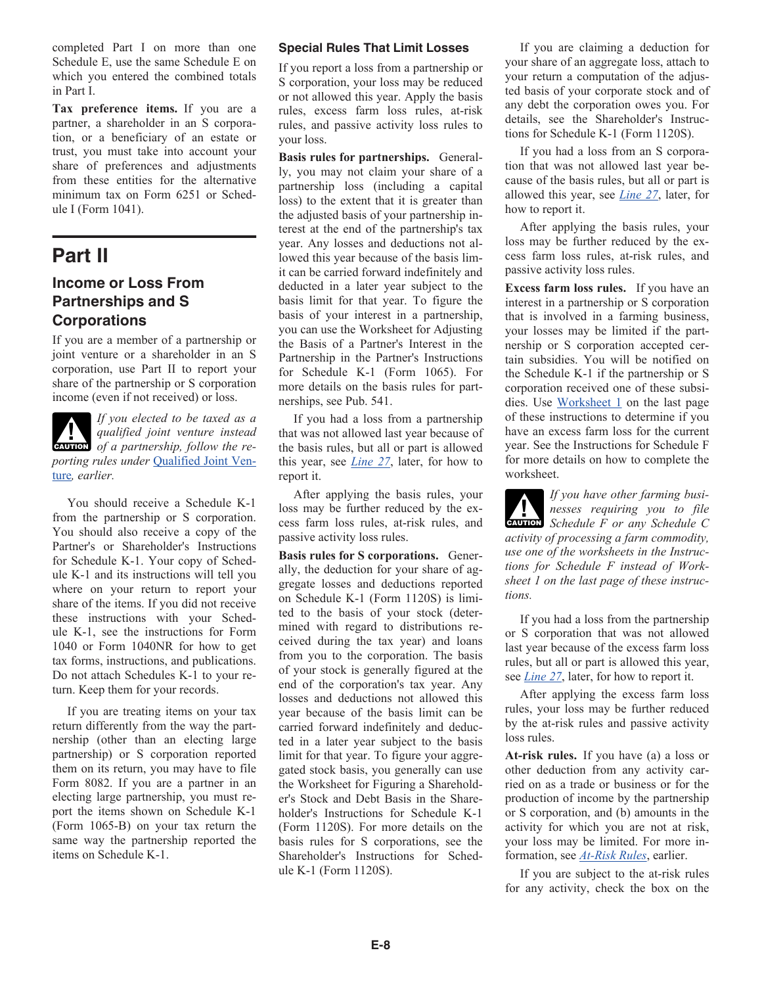<span id="page-7-0"></span>completed Part I on more than one Schedule E, use the same Schedule E on which you entered the combined totals in Part I.

**Tax preference items.** If you are a partner, a shareholder in an S corporation, or a beneficiary of an estate or trust, you must take into account your share of preferences and adjustments from these entities for the alternative minimum tax on Form 6251 or Schedule I (Form 1041).

### **Part II**

#### **Income or Loss From Partnerships and S Corporations**

If you are a member of a partnership or joint venture or a shareholder in an S corporation, use Part II to report your share of the partnership or S corporation income (even if not received) or loss.



*If you elected to be taxed as a qualified joint venture instead*  **of** a partnership, follow the re*porting rules under* [Qualified Joint Ven](#page-0-0)[ture](#page-0-0)*, earlier.*

You should receive a Schedule K-1 from the partnership or S corporation. You should also receive a copy of the Partner's or Shareholder's Instructions for Schedule K-1. Your copy of Schedule K-1 and its instructions will tell you where on your return to report your share of the items. If you did not receive these instructions with your Schedule K-1, see the instructions for Form 1040 or Form 1040NR for how to get tax forms, instructions, and publications. Do not attach Schedules K-1 to your return. Keep them for your records.

If you are treating items on your tax return differently from the way the partnership (other than an electing large partnership) or S corporation reported them on its return, you may have to file Form 8082. If you are a partner in an electing large partnership, you must report the items shown on Schedule K-1 (Form 1065-B) on your tax return the same way the partnership reported the items on Schedule K-1.

#### **Special Rules That Limit Losses**

If you report a loss from a partnership or S corporation, your loss may be reduced or not allowed this year. Apply the basis rules, excess farm loss rules, at-risk rules, and passive activity loss rules to your loss.

**Basis rules for partnerships.** Generally, you may not claim your share of a partnership loss (including a capital loss) to the extent that it is greater than the adjusted basis of your partnership interest at the end of the partnership's tax year. Any losses and deductions not allowed this year because of the basis limit can be carried forward indefinitely and deducted in a later year subject to the basis limit for that year. To figure the basis of your interest in a partnership, you can use the Worksheet for Adjusting the Basis of a Partner's Interest in the Partnership in the Partner's Instructions for Schedule K-1 (Form 1065). For more details on the basis rules for partnerships, see Pub. 541.

If you had a loss from a partnership that was not allowed last year because of the basis rules, but all or part is allowed this year, see *[Line 27](#page-9-0)*, later, for how to report it.

After applying the basis rules, your loss may be further reduced by the excess farm loss rules, at-risk rules, and passive activity loss rules.

**Basis rules for S corporations.** Generally, the deduction for your share of aggregate losses and deductions reported on Schedule K-1 (Form 1120S) is limited to the basis of your stock (determined with regard to distributions received during the tax year) and loans from you to the corporation. The basis of your stock is generally figured at the end of the corporation's tax year. Any losses and deductions not allowed this year because of the basis limit can be carried forward indefinitely and deducted in a later year subject to the basis limit for that year. To figure your aggregated stock basis, you generally can use the Worksheet for Figuring a Shareholder's Stock and Debt Basis in the Shareholder's Instructions for Schedule K-1 (Form 1120S). For more details on the basis rules for S corporations, see the Shareholder's Instructions for Schedule K-1 (Form 1120S).

If you are claiming a deduction for your share of an aggregate loss, attach to your return a computation of the adjusted basis of your corporate stock and of any debt the corporation owes you. For details, see the Shareholder's Instructions for Schedule K-1 (Form 1120S).

If you had a loss from an S corporation that was not allowed last year because of the basis rules, but all or part is allowed this year, see *[Line 27](#page-9-0)*, later, for how to report it.

After applying the basis rules, your loss may be further reduced by the excess farm loss rules, at-risk rules, and passive activity loss rules.

**Excess farm loss rules.** If you have an interest in a partnership or S corporation that is involved in a farming business, your losses may be limited if the partnership or S corporation accepted certain subsidies. You will be notified on the Schedule K-1 if the partnership or S corporation received one of these subsidies. Use [Worksheet 1](#page-11-0) on the last page of these instructions to determine if you have an excess farm loss for the current year. See the Instructions for Schedule F for more details on how to complete the worksheet.

*If you have other farming businesses requiring you to file*  **CAUTION** Schedule F or any Schedule C *activity of processing a farm commodity, use one of the worksheets in the Instructions for Schedule F instead of Worksheet 1 on the last page of these instructions.*

If you had a loss from the partnership or S corporation that was not allowed last year because of the excess farm loss rules, but all or part is allowed this year, see *[Line 27](#page-9-0)*, later, for how to report it.

After applying the excess farm loss rules, your loss may be further reduced by the at-risk rules and passive activity loss rules.

**At-risk rules.** If you have (a) a loss or other deduction from any activity carried on as a trade or business or for the production of income by the partnership or S corporation, and (b) amounts in the activity for which you are not at risk, your loss may be limited. For more information, see *[At-Risk Rules](#page-1-0)*, earlier.

If you are subject to the at-risk rules for any activity, check the box on the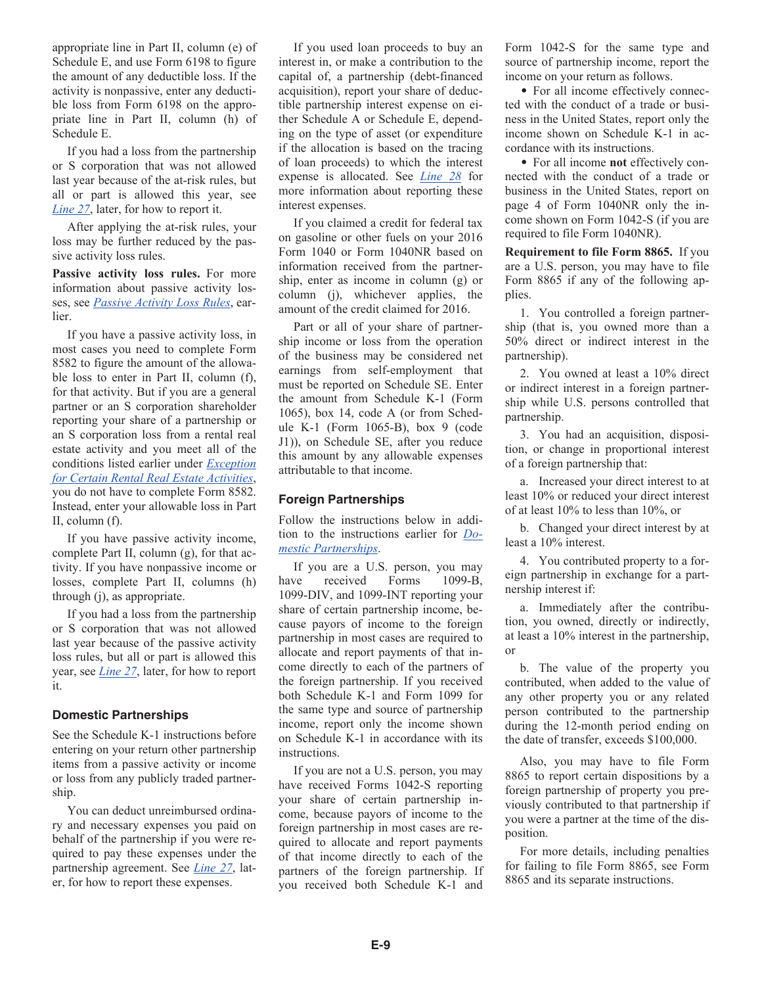<span id="page-8-0"></span>appropriate line in Part II, column (e) of Schedule E, and use Form 6198 to figure the amount of any deductible loss. If the activity is nonpassive, enter any deductible loss from Form 6198 on the appropriate line in Part II, column (h) of Schedule E.

If you had a loss from the partnership or S corporation that was not allowed last year because of the at-risk rules, but all or part is allowed this year, see *[Line 27](#page-9-0)*, later, for how to report it.

After applying the at-risk rules, your loss may be further reduced by the passive activity loss rules.

**Passive activity loss rules.** For more information about passive activity losses, see *[Passive Activity Loss Rules](#page-2-0)*, earlier.

If you have a passive activity loss, in most cases you need to complete Form 8582 to figure the amount of the allowable loss to enter in Part II, column (f), for that activity. But if you are a general partner or an S corporation shareholder reporting your share of a partnership or an S corporation loss from a rental real estate activity and you meet all of the conditions listed earlier under *[Exception](#page-2-0) [for Certain Rental Real Estate Activities](#page-2-0)*, you do not have to complete Form 8582. Instead, enter your allowable loss in Part II, column (f).

If you have passive activity income, complete Part II, column (g), for that activity. If you have nonpassive income or losses, complete Part II, columns (h) through (j), as appropriate.

If you had a loss from the partnership or S corporation that was not allowed last year because of the passive activity loss rules, but all or part is allowed this year, see *[Line 27](#page-9-0)*, later, for how to report it.

#### **Domestic Partnerships**

See the Schedule K-1 instructions before entering on your return other partnership items from a passive activity or income or loss from any publicly traded partnership.

You can deduct unreimbursed ordinary and necessary expenses you paid on behalf of the partnership if you were required to pay these expenses under the partnership agreement. See *[Line 27](#page-9-0)*, later, for how to report these expenses.

If you used loan proceeds to buy an interest in, or make a contribution to the capital of, a partnership (debt-financed acquisition), report your share of deductible partnership interest expense on either Schedule A or Schedule E, depending on the type of asset (or expenditure if the allocation is based on the tracing of loan proceeds) to which the interest expense is allocated. See *[Line 28](#page-9-0)* for more information about reporting these interest expenses.

If you claimed a credit for federal tax on gasoline or other fuels on your 2016 Form 1040 or Form 1040NR based on information received from the partnership, enter as income in column (g) or column (j), whichever applies, the amount of the credit claimed for 2016.

Part or all of your share of partnership income or loss from the operation of the business may be considered net earnings from self-employment that must be reported on Schedule SE. Enter the amount from Schedule K-1 (Form 1065), box 14, code A (or from Schedule K-1 (Form 1065-B), box 9 (code J1)), on Schedule SE, after you reduce this amount by any allowable expenses attributable to that income.

#### **Foreign Partnerships**

Follow the instructions below in addition to the instructions earlier for *Domestic Partnerships*.

If you are a U.S. person, you may have received Forms 1099-B, 1099-DIV, and 1099-INT reporting your share of certain partnership income, because payors of income to the foreign partnership in most cases are required to allocate and report payments of that income directly to each of the partners of the foreign partnership. If you received both Schedule K-1 and Form 1099 for the same type and source of partnership income, report only the income shown on Schedule K-1 in accordance with its instructions.

If you are not a U.S. person, you may have received Forms 1042-S reporting your share of certain partnership income, because payors of income to the foreign partnership in most cases are required to allocate and report payments of that income directly to each of the partners of the foreign partnership. If you received both Schedule K-1 and

Form 1042-S for the same type and source of partnership income, report the income on your return as follows.

• For all income effectively connected with the conduct of a trade or business in the United States, report only the income shown on Schedule K-1 in accordance with its instructions.

For all income **not** effectively connected with the conduct of a trade or business in the United States, report on page 4 of Form 1040NR only the income shown on Form 1042-S (if you are required to file Form 1040NR).

**Requirement to file Form 8865.** If you are a U.S. person, you may have to file Form 8865 if any of the following applies.

1. You controlled a foreign partnership (that is, you owned more than a 50% direct or indirect interest in the partnership).

2. You owned at least a 10% direct or indirect interest in a foreign partnership while U.S. persons controlled that partnership.

3. You had an acquisition, disposition, or change in proportional interest of a foreign partnership that:

a. Increased your direct interest to at least 10% or reduced your direct interest of at least 10% to less than 10%, or

b. Changed your direct interest by at least a 10% interest.

4. You contributed property to a foreign partnership in exchange for a partnership interest if:

a. Immediately after the contribution, you owned, directly or indirectly, at least a 10% interest in the partnership, or

b. The value of the property you contributed, when added to the value of any other property you or any related person contributed to the partnership during the 12-month period ending on the date of transfer, exceeds \$100,000.

Also, you may have to file Form 8865 to report certain dispositions by a foreign partnership of property you previously contributed to that partnership if you were a partner at the time of the disposition.

For more details, including penalties for failing to file Form 8865, see Form 8865 and its separate instructions.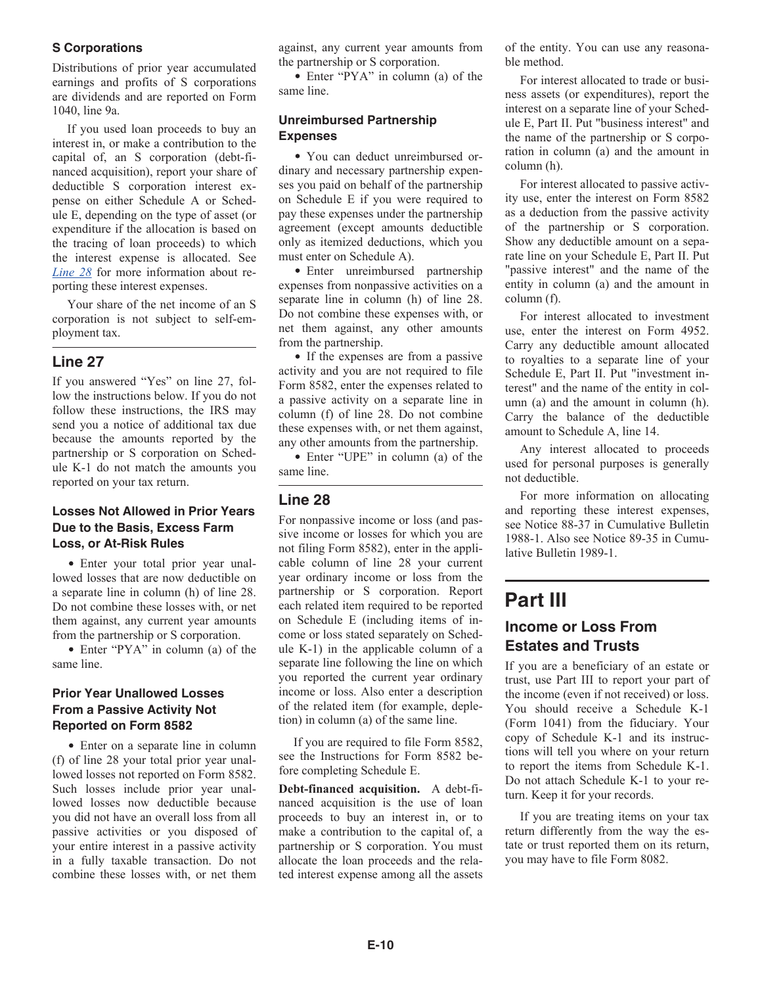#### <span id="page-9-0"></span>**S Corporations**

Distributions of prior year accumulated earnings and profits of S corporations are dividends and are reported on Form 1040, line 9a.

If you used loan proceeds to buy an interest in, or make a contribution to the capital of, an S corporation (debt-financed acquisition), report your share of deductible S corporation interest expense on either Schedule A or Schedule E, depending on the type of asset (or expenditure if the allocation is based on the tracing of loan proceeds) to which the interest expense is allocated. See *Line 28* for more information about reporting these interest expenses.

Your share of the net income of an S corporation is not subject to self-employment tax.

#### **Line 27**

If you answered "Yes" on line 27, follow the instructions below. If you do not follow these instructions, the IRS may send you a notice of additional tax due because the amounts reported by the partnership or S corporation on Schedule K-1 do not match the amounts you reported on your tax return.

#### **Losses Not Allowed in Prior Years Due to the Basis, Excess Farm Loss, or At-Risk Rules**

Enter your total prior year unallowed losses that are now deductible on a separate line in column (h) of line 28. Do not combine these losses with, or net them against, any current year amounts from the partnership or S corporation.

Enter "PYA" in column (a) of the same line.

#### **Prior Year Unallowed Losses From a Passive Activity Not Reported on Form 8582**

• Enter on a separate line in column (f) of line 28 your total prior year unallowed losses not reported on Form 8582. Such losses include prior year unallowed losses now deductible because you did not have an overall loss from all passive activities or you disposed of your entire interest in a passive activity in a fully taxable transaction. Do not combine these losses with, or net them against, any current year amounts from the partnership or S corporation.

• Enter "PYA" in column (a) of the same line.

#### **Unreimbursed Partnership Expenses**

You can deduct unreimbursed ordinary and necessary partnership expenses you paid on behalf of the partnership on Schedule E if you were required to pay these expenses under the partnership agreement (except amounts deductible only as itemized deductions, which you must enter on Schedule A).

Enter unreimbursed partnership expenses from nonpassive activities on a separate line in column (h) of line 28. Do not combine these expenses with, or net them against, any other amounts from the partnership.

• If the expenses are from a passive activity and you are not required to file Form 8582, enter the expenses related to a passive activity on a separate line in column (f) of line 28. Do not combine these expenses with, or net them against, any other amounts from the partnership.

• Enter "UPE" in column (a) of the same line.

#### **Line 28**

For nonpassive income or loss (and passive income or losses for which you are not filing Form 8582), enter in the applicable column of line 28 your current year ordinary income or loss from the partnership or S corporation. Report each related item required to be reported on Schedule E (including items of income or loss stated separately on Schedule K-1) in the applicable column of a separate line following the line on which you reported the current year ordinary income or loss. Also enter a description of the related item (for example, depletion) in column (a) of the same line.

If you are required to file Form 8582, see the Instructions for Form 8582 before completing Schedule E.

**Debt-financed acquisition.** A debt-financed acquisition is the use of loan proceeds to buy an interest in, or to make a contribution to the capital of, a partnership or S corporation. You must allocate the loan proceeds and the related interest expense among all the assets

of the entity. You can use any reasonable method.

For interest allocated to trade or business assets (or expenditures), report the interest on a separate line of your Schedule E, Part II. Put "business interest" and the name of the partnership or S corporation in column (a) and the amount in column (h).

For interest allocated to passive activity use, enter the interest on Form 8582 as a deduction from the passive activity of the partnership or S corporation. Show any deductible amount on a separate line on your Schedule E, Part II. Put "passive interest" and the name of the entity in column (a) and the amount in column (f).

For interest allocated to investment use, enter the interest on Form 4952. Carry any deductible amount allocated to royalties to a separate line of your Schedule E, Part II. Put "investment interest" and the name of the entity in column (a) and the amount in column (h). Carry the balance of the deductible amount to Schedule A, line 14.

Any interest allocated to proceeds used for personal purposes is generally not deductible.

For more information on allocating and reporting these interest expenses, see Notice 88-37 in Cumulative Bulletin 1988-1. Also see Notice 89-35 in Cumulative Bulletin 1989-1.

### **Part III**

#### **Income or Loss From Estates and Trusts**

If you are a beneficiary of an estate or trust, use Part III to report your part of the income (even if not received) or loss. You should receive a Schedule K-1 (Form 1041) from the fiduciary. Your copy of Schedule K-1 and its instructions will tell you where on your return to report the items from Schedule K-1. Do not attach Schedule K-1 to your return. Keep it for your records.

If you are treating items on your tax return differently from the way the estate or trust reported them on its return, you may have to file Form 8082.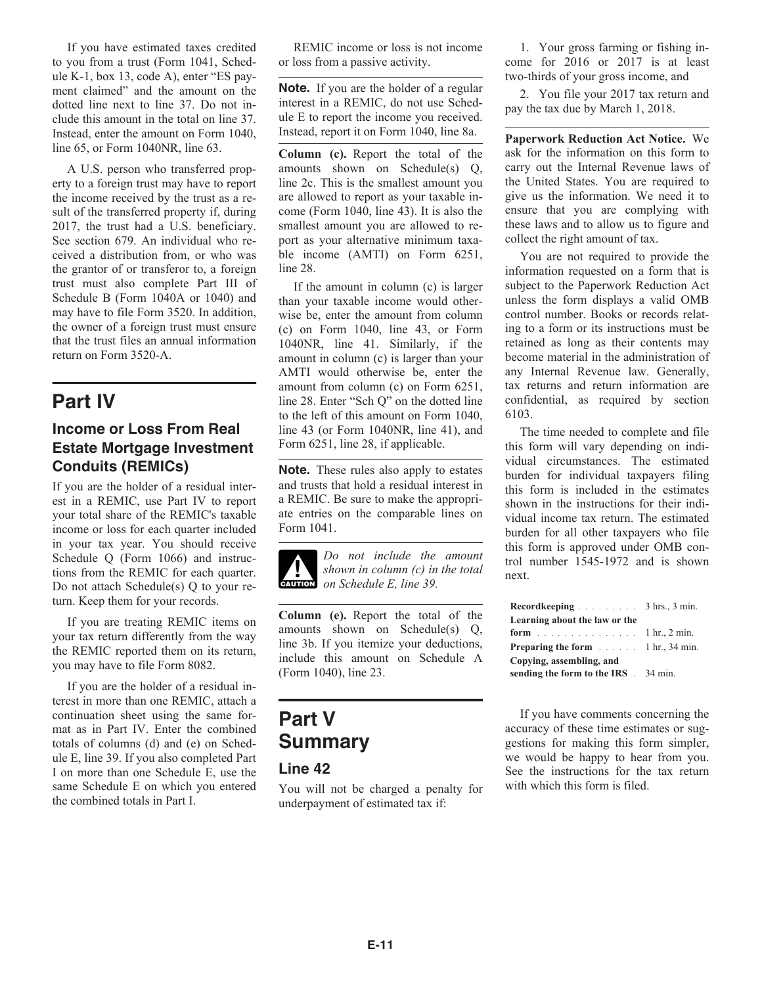If you have estimated taxes credited to you from a trust (Form 1041, Schedule K-1, box 13, code A), enter "ES payment claimed" and the amount on the dotted line next to line 37. Do not include this amount in the total on line 37. Instead, enter the amount on Form 1040, line 65, or Form 1040NR, line 63.

A U.S. person who transferred property to a foreign trust may have to report the income received by the trust as a result of the transferred property if, during 2017, the trust had a U.S. beneficiary. See section 679. An individual who received a distribution from, or who was the grantor of or transferor to, a foreign trust must also complete Part III of Schedule B (Form 1040A or 1040) and may have to file Form 3520. In addition, the owner of a foreign trust must ensure that the trust files an annual information return on Form 3520-A.

### **Part IV**

#### **Income or Loss From Real Estate Mortgage Investment Conduits (REMICs)**

If you are the holder of a residual interest in a REMIC, use Part IV to report your total share of the REMIC's taxable income or loss for each quarter included in your tax year. You should receive Schedule Q (Form 1066) and instructions from the REMIC for each quarter. Do not attach Schedule(s) Q to your return. Keep them for your records.

If you are treating REMIC items on your tax return differently from the way the REMIC reported them on its return, you may have to file Form 8082.

If you are the holder of a residual interest in more than one REMIC, attach a continuation sheet using the same format as in Part IV. Enter the combined totals of columns (d) and (e) on Schedule E, line 39. If you also completed Part I on more than one Schedule E, use the same Schedule E on which you entered the combined totals in Part I.

REMIC income or loss is not income or loss from a passive activity.

**Note.** If you are the holder of a regular interest in a REMIC, do not use Schedule E to report the income you received. Instead, report it on Form 1040, line 8a.

**Column (c).** Report the total of the amounts shown on Schedule(s) Q, line 2c. This is the smallest amount you are allowed to report as your taxable income (Form 1040, line 43). It is also the smallest amount you are allowed to report as your alternative minimum taxable income (AMTI) on Form 6251, line 28.

If the amount in column (c) is larger than your taxable income would otherwise be, enter the amount from column (c) on Form 1040, line 43, or Form 1040NR, line 41. Similarly, if the amount in column (c) is larger than your AMTI would otherwise be, enter the amount from column (c) on Form 6251, line 28. Enter "Sch Q" on the dotted line to the left of this amount on Form 1040, line 43 (or Form 1040NR, line 41), and Form 6251, line 28, if applicable.

**Note.** These rules also apply to estates and trusts that hold a residual interest in a REMIC. Be sure to make the appropriate entries on the comparable lines on Form 1041.

*Do not include the amount shown in column (c) in the total on Schedule E, line 39.*  $\frac{1}{\text{Cautron}}$ 

**Column (e).** Report the total of the amounts shown on Schedule(s) Q, line 3b. If you itemize your deductions, include this amount on Schedule A (Form 1040), line 23.

## **Part V Summary**

#### **Line 42**

You will not be charged a penalty for underpayment of estimated tax if:

1. Your gross farming or fishing income for 2016 or 2017 is at least two-thirds of your gross income, and

2. You file your 2017 tax return and pay the tax due by March 1, 2018.

**Paperwork Reduction Act Notice.** We ask for the information on this form to carry out the Internal Revenue laws of the United States. You are required to give us the information. We need it to ensure that you are complying with these laws and to allow us to figure and collect the right amount of tax.

You are not required to provide the information requested on a form that is subject to the Paperwork Reduction Act unless the form displays a valid OMB control number. Books or records relating to a form or its instructions must be retained as long as their contents may become material in the administration of any Internal Revenue law. Generally, tax returns and return information are confidential, as required by section 6103.

The time needed to complete and file this form will vary depending on individual circumstances. The estimated burden for individual taxpayers filing this form is included in the estimates shown in the instructions for their individual income tax return. The estimated burden for all other taxpayers who file this form is approved under OMB control number 1545-1972 and is shown next.

| Record keeping $\ldots$ $\ldots$ 3 hrs., 3 min. |  |
|-------------------------------------------------|--|
| Learning about the law or the                   |  |
| <b>form</b> 1 hr., 2 min.                       |  |
| <b>Preparing the form</b> 1 hr., 34 min.        |  |
| Copying, assembling, and                        |  |
| sending the form to the IRS 34 min.             |  |

If you have comments concerning the accuracy of these time estimates or suggestions for making this form simpler, we would be happy to hear from you. See the instructions for the tax return with which this form is filed.